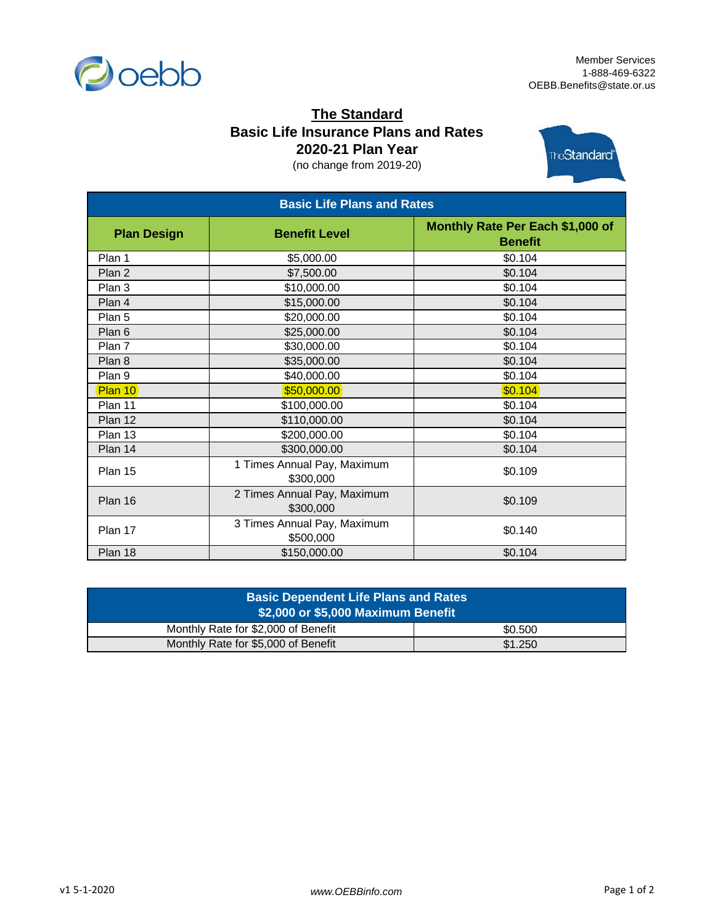

## **The Standard Basic Life Insurance Plans and Rates 2020-21 Plan Year**

(no change from 2019-20)



| <b>Basic Life Plans and Rates</b> |                                          |                                                    |  |
|-----------------------------------|------------------------------------------|----------------------------------------------------|--|
| <b>Plan Design</b>                | <b>Benefit Level</b>                     | Monthly Rate Per Each \$1,000 of<br><b>Benefit</b> |  |
| Plan 1                            | \$5,000.00                               | \$0.104                                            |  |
| Plan 2                            | \$7,500.00                               | \$0.104                                            |  |
| Plan 3                            | \$10,000.00                              | \$0.104                                            |  |
| Plan 4                            | \$15,000.00                              | \$0.104                                            |  |
| Plan 5                            | \$20,000.00                              | \$0.104                                            |  |
| Plan 6                            | \$25,000.00                              | \$0.104                                            |  |
| Plan 7                            | \$30,000.00                              | \$0.104                                            |  |
| Plan 8                            | \$35,000.00                              | \$0.104                                            |  |
| Plan 9                            | \$40,000.00                              | \$0.104                                            |  |
| Plan 10                           | \$50,000.00                              | \$0.104]                                           |  |
| Plan 11                           | \$100,000.00                             | \$0.104                                            |  |
| Plan 12                           | \$110,000.00                             | \$0.104                                            |  |
| Plan 13                           | \$200,000.00                             | \$0.104                                            |  |
| Plan 14                           | \$300,000.00                             | \$0.104                                            |  |
| Plan 15                           | 1 Times Annual Pay, Maximum<br>\$300,000 | \$0.109                                            |  |
| Plan 16                           | 2 Times Annual Pay, Maximum<br>\$300,000 | \$0.109                                            |  |
| Plan 17                           | 3 Times Annual Pay, Maximum<br>\$500,000 | \$0.140                                            |  |
| Plan 18                           | \$150,000.00                             | \$0.104                                            |  |

| <b>Basic Dependent Life Plans and Rates</b><br>\$2,000 or \$5,000 Maximum Benefit |         |  |  |  |
|-----------------------------------------------------------------------------------|---------|--|--|--|
| Monthly Rate for \$2,000 of Benefit                                               | \$0.500 |  |  |  |
| Monthly Rate for \$5,000 of Benefit                                               | \$1,250 |  |  |  |